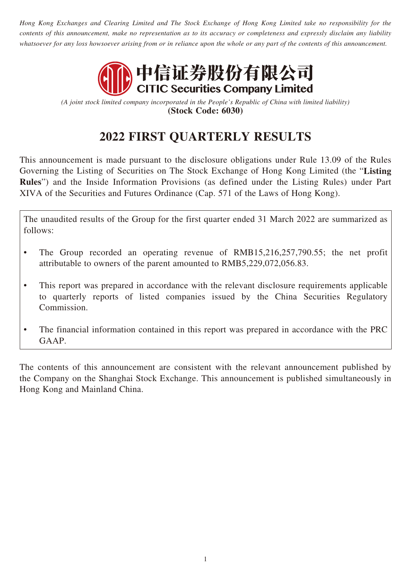*Hong Kong Exchanges and Clearing Limited and The Stock Exchange of Hong Kong Limited take no responsibility for the contents of this announcement, make no representation as to its accuracy or completeness and expressly disclaim any liability whatsoever for any loss howsoever arising from or in reliance upon the whole or any part of the contents of this announcement.*



*(A joint stock limited company incorporated in the People's Republic of China with limited liability)* **(Stock Code: 6030)**

# **2022 FIRST QUARTERLY RESULTS**

This announcement is made pursuant to the disclosure obligations under Rule 13.09 of the Rules Governing the Listing of Securities on The Stock Exchange of Hong Kong Limited (the "**Listing Rules**") and the Inside Information Provisions (as defined under the Listing Rules) under Part XIVA of the Securities and Futures Ordinance (Cap. 571 of the Laws of Hong Kong).

The unaudited results of the Group for the first quarter ended 31 March 2022 are summarized as follows:

- The Group recorded an operating revenue of RMB15,216,257,790.55; the net profit attributable to owners of the parent amounted to RMB5,229,072,056.83.
- This report was prepared in accordance with the relevant disclosure requirements applicable to quarterly reports of listed companies issued by the China Securities Regulatory Commission.
- The financial information contained in this report was prepared in accordance with the PRC GAAP.

The contents of this announcement are consistent with the relevant announcement published by the Company on the Shanghai Stock Exchange. This announcement is published simultaneously in Hong Kong and Mainland China.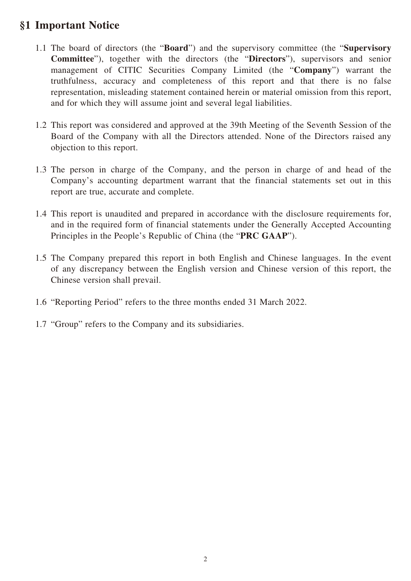## **§1 Important Notice**

- 1.1 The board of directors (the "**Board**") and the supervisory committee (the "**Supervisory Committee**"), together with the directors (the "**Directors**"), supervisors and senior management of CITIC Securities Company Limited (the "**Company**") warrant the truthfulness, accuracy and completeness of this report and that there is no false representation, misleading statement contained herein or material omission from this report, and for which they will assume joint and several legal liabilities.
- 1.2 This report was considered and approved at the 39th Meeting of the Seventh Session of the Board of the Company with all the Directors attended. None of the Directors raised any objection to this report.
- 1.3 The person in charge of the Company, and the person in charge of and head of the Company's accounting department warrant that the financial statements set out in this report are true, accurate and complete.
- 1.4 This report is unaudited and prepared in accordance with the disclosure requirements for, and in the required form of financial statements under the Generally Accepted Accounting Principles in the People's Republic of China (the "**PRC GAAP**").
- 1.5 The Company prepared this report in both English and Chinese languages. In the event of any discrepancy between the English version and Chinese version of this report, the Chinese version shall prevail.
- 1.6 "Reporting Period" refers to the three months ended 31 March 2022.
- 1.7 "Group" refers to the Company and its subsidiaries.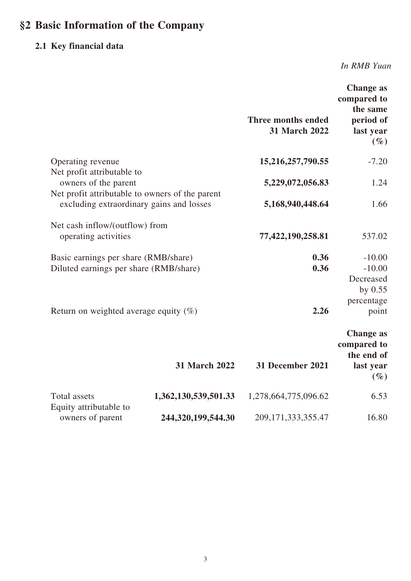# **§2 Basic Information of the Company**

# **2.1 Key financial data**

*In RMB Yuan*

|                                                                                                       |                      | Three months ended<br><b>31 March 2022</b> | <b>Change as</b><br>compared to<br>the same<br>period of<br>last year<br>$(\%)$ |
|-------------------------------------------------------------------------------------------------------|----------------------|--------------------------------------------|---------------------------------------------------------------------------------|
| Operating revenue                                                                                     |                      | 15,216,257,790.55                          | $-7.20$                                                                         |
| Net profit attributable to<br>owners of the parent<br>Net profit attributable to owners of the parent |                      | 5,229,072,056.83                           | 1.24                                                                            |
| excluding extraordinary gains and losses                                                              |                      | 5,168,940,448.64                           | 1.66                                                                            |
| Net cash inflow/(outflow) from<br>operating activities                                                |                      | 77,422,190,258.81                          | 537.02                                                                          |
| Basic earnings per share (RMB/share)<br>Diluted earnings per share (RMB/share)                        |                      | 0.36<br>0.36                               | $-10.00$<br>$-10.00$<br>Decreased                                               |
| Return on weighted average equity $(\%)$                                                              |                      | 2.26                                       | by 0.55<br>percentage<br>point                                                  |
|                                                                                                       | <b>31 March 2022</b> | 31 December 2021                           | <b>Change as</b><br>compared to<br>the end of<br>last year                      |
| Total assets                                                                                          | 1,362,130,539,501.33 | 1,278,664,775,096.62                       | $(\%)$<br>6.53                                                                  |
| Equity attributable to<br>owners of parent                                                            | 244,320,199,544.30   | 209, 171, 333, 355. 47                     | 16.80                                                                           |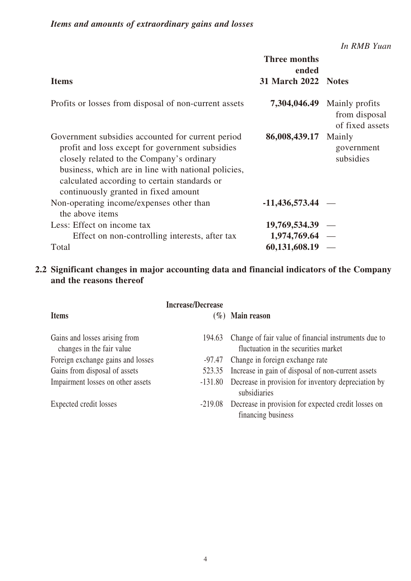*In RMB Yuan*

|                                                                                                                                                                                                                                                                                                  | <b>Three months</b><br>ended |                                                    |
|--------------------------------------------------------------------------------------------------------------------------------------------------------------------------------------------------------------------------------------------------------------------------------------------------|------------------------------|----------------------------------------------------|
| <b>Items</b>                                                                                                                                                                                                                                                                                     | 31 March 2022 Notes          |                                                    |
| Profits or losses from disposal of non-current assets                                                                                                                                                                                                                                            | 7,304,046.49                 | Mainly profits<br>from disposal<br>of fixed assets |
| Government subsidies accounted for current period<br>profit and loss except for government subsidies<br>closely related to the Company's ordinary<br>business, which are in line with national policies,<br>calculated according to certain standards or<br>continuously granted in fixed amount | 86,008,439.17                | Mainly<br>government<br>subsidies                  |
| Non-operating income/expenses other than<br>the above items                                                                                                                                                                                                                                      | $-11,436,573.44$ –           |                                                    |
| Less: Effect on income tax                                                                                                                                                                                                                                                                       | $19,769,534.39$ –            |                                                    |
| Effect on non-controlling interests, after tax                                                                                                                                                                                                                                                   | $1,974,769.64 -$             |                                                    |
| Total                                                                                                                                                                                                                                                                                            | $60,131,608.19$ -            |                                                    |

#### **2.2 Significant changes in major accounting data and financial indicators of the Company and the reasons thereof**

|                                                            | <b>Increase/Decrease</b> |                                                                                              |
|------------------------------------------------------------|--------------------------|----------------------------------------------------------------------------------------------|
| <b>Items</b>                                               |                          | $(\%)$ Main reason                                                                           |
| Gains and losses arising from<br>changes in the fair value | 194.63                   | Change of fair value of financial instruments due to<br>fluctuation in the securities market |
| Foreign exchange gains and losses                          | -97.47                   | Change in foreign exchange rate                                                              |
| Gains from disposal of assets                              | 523.35                   | Increase in gain of disposal of non-current assets                                           |
| Impairment losses on other assets                          | $-131.80$                | Decrease in provision for inventory depreciation by<br>subsidiaries                          |
| Expected credit losses                                     | $-219.08$                | Decrease in provision for expected credit losses on<br>financing business                    |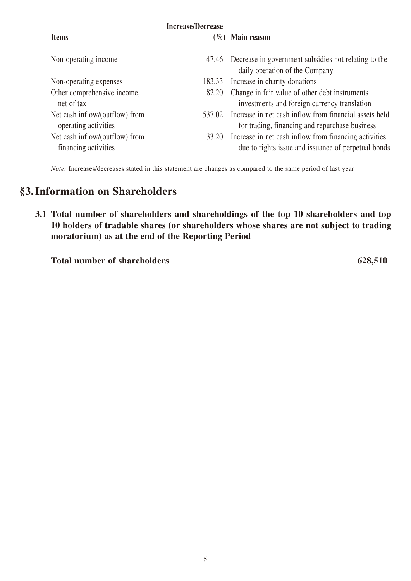| <b>Items</b>                                           | <b>Increase/Decrease</b> | $(\%)$ Main reason                                                                                           |
|--------------------------------------------------------|--------------------------|--------------------------------------------------------------------------------------------------------------|
| Non-operating income                                   |                          | -47.46 Decrease in government subsidies not relating to the<br>daily operation of the Company                |
| Non-operating expenses                                 | 183.33                   | Increase in charity donations                                                                                |
| Other comprehensive income,<br>net of tax              | 82.20                    | Change in fair value of other debt instruments<br>investments and foreign currency translation               |
| Net cash inflow/(outflow) from<br>operating activities | 537.02                   | Increase in net cash inflow from financial assets held<br>for trading, financing and repurchase business     |
| Net cash inflow/(outflow) from<br>financing activities | 33.20                    | Increase in net cash inflow from financing activities<br>due to rights issue and issuance of perpetual bonds |

*Note:* Increases/decreases stated in this statement are changes as compared to the same period of last year

## **§3.Information on Shareholders**

**3.1 Total number of shareholders and shareholdings of the top 10 shareholders and top 10 holders of tradable shares (or shareholders whose shares are not subject to trading moratorium) as at the end of the Reporting Period**

**Total number of shareholders 628,510**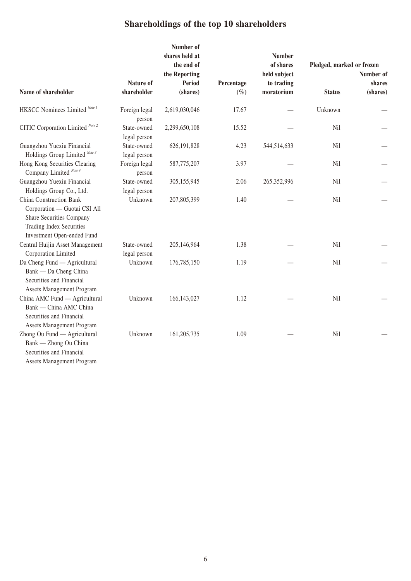# **Shareholdings of the top 10 shareholders**

|                                                                                                                                                      |                             | Number of<br>shares held at<br>the end of<br>the Reporting |                      | <b>Number</b><br>of shares<br>held subject | Pledged, marked or frozen | Number of          |
|------------------------------------------------------------------------------------------------------------------------------------------------------|-----------------------------|------------------------------------------------------------|----------------------|--------------------------------------------|---------------------------|--------------------|
| Name of shareholder                                                                                                                                  | Nature of<br>shareholder    | <b>Period</b><br>(shares)                                  | Percentage<br>$(\%)$ | to trading<br>moratorium                   | <b>Status</b>             | shares<br>(shares) |
| HKSCC Nominees Limited Note 1                                                                                                                        | Foreign legal<br>person     | 2,619,030,046                                              | 17.67                |                                            | Unknown                   |                    |
| CITIC Corporation Limited Note 2                                                                                                                     | State-owned<br>legal person | 2,299,650,108                                              | 15.52                |                                            | Nil                       |                    |
| Guangzhou Yuexiu Financial<br>Holdings Group Limited Note 3                                                                                          | State-owned<br>legal person | 626, 191, 828                                              | 4.23                 | 544,514,633                                | <b>Nil</b>                |                    |
| Hong Kong Securities Clearing<br>Company Limited <sup>Note 4</sup>                                                                                   | Foreign legal<br>person     | 587,775,207                                                | 3.97                 |                                            | <b>Nil</b>                |                    |
| Guangzhou Yuexiu Financial<br>Holdings Group Co., Ltd.                                                                                               | State-owned<br>legal person | 305,155,945                                                | 2.06                 | 265,352,996                                | Nil                       |                    |
| <b>China Construction Bank</b><br>Corporation - Guotai CSI All<br>Share Securities Company<br>Trading Index Securities<br>Investment Open-ended Fund | Unknown                     | 207,805,399                                                | 1.40                 |                                            | Nil                       |                    |
| Central Huijin Asset Management<br>Corporation Limited                                                                                               | State-owned<br>legal person | 205,146,964                                                | 1.38                 |                                            | Nil                       |                    |
| Da Cheng Fund — Agricultural<br>Bank — Da Cheng China<br>Securities and Financial<br><b>Assets Management Program</b>                                | Unknown                     | 176,785,150                                                | 1.19                 |                                            | Nil                       |                    |
| China AMC Fund - Agricultural<br>Bank — China AMC China<br>Securities and Financial<br>Assets Management Program                                     | Unknown                     | 166, 143, 027                                              | 1.12                 |                                            | Nil                       |                    |
| Zhong Ou Fund — Agricultural<br>Bank — Zhong Ou China<br>Securities and Financial                                                                    | Unknown                     | 161,205,735                                                | 1.09                 |                                            | Nil                       |                    |

Assets Management Program

6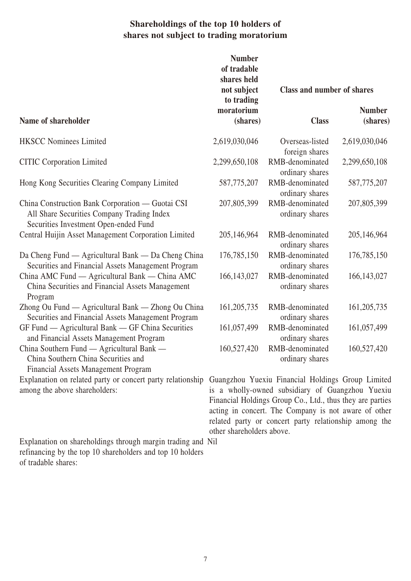### **Shareholdings of the top 10 holders of shares not subject to trading moratorium**

|                                                                                                                                         | <b>Number</b><br>of tradable<br>shares held<br>not subject | Class and number of shares                                                                                                                                                                                                                                                          |                           |
|-----------------------------------------------------------------------------------------------------------------------------------------|------------------------------------------------------------|-------------------------------------------------------------------------------------------------------------------------------------------------------------------------------------------------------------------------------------------------------------------------------------|---------------------------|
| Name of shareholder                                                                                                                     | to trading<br>moratorium<br>(shares)                       | <b>Class</b>                                                                                                                                                                                                                                                                        | <b>Number</b><br>(shares) |
| <b>HKSCC Nominees Limited</b>                                                                                                           | 2,619,030,046                                              | Overseas-listed<br>foreign shares                                                                                                                                                                                                                                                   | 2,619,030,046             |
| <b>CITIC Corporation Limited</b>                                                                                                        | 2,299,650,108                                              | RMB-denominated<br>ordinary shares                                                                                                                                                                                                                                                  | 2,299,650,108             |
| Hong Kong Securities Clearing Company Limited                                                                                           | 587,775,207                                                | RMB-denominated<br>ordinary shares                                                                                                                                                                                                                                                  | 587,775,207               |
| China Construction Bank Corporation — Guotai CSI<br>All Share Securities Company Trading Index<br>Securities Investment Open-ended Fund | 207,805,399                                                | RMB-denominated<br>ordinary shares                                                                                                                                                                                                                                                  | 207,805,399               |
| Central Huijin Asset Management Corporation Limited                                                                                     | 205,146,964                                                | RMB-denominated<br>ordinary shares                                                                                                                                                                                                                                                  | 205,146,964               |
| Da Cheng Fund — Agricultural Bank — Da Cheng China<br>Securities and Financial Assets Management Program                                | 176,785,150                                                | RMB-denominated<br>ordinary shares                                                                                                                                                                                                                                                  | 176,785,150               |
| China AMC Fund — Agricultural Bank — China AMC<br>China Securities and Financial Assets Management<br>Program                           | 166, 143, 027                                              | RMB-denominated<br>ordinary shares                                                                                                                                                                                                                                                  | 166, 143, 027             |
| Zhong Ou Fund — Agricultural Bank — Zhong Ou China<br>Securities and Financial Assets Management Program                                | 161, 205, 735                                              | RMB-denominated<br>ordinary shares                                                                                                                                                                                                                                                  | 161, 205, 735             |
| GF Fund — Agricultural Bank — GF China Securities<br>and Financial Assets Management Program                                            | 161,057,499                                                | RMB-denominated<br>ordinary shares                                                                                                                                                                                                                                                  | 161,057,499               |
| China Southern Fund — Agricultural Bank —<br>China Southern China Securities and<br><b>Financial Assets Management Program</b>          | 160,527,420                                                | RMB-denominated<br>ordinary shares                                                                                                                                                                                                                                                  | 160,527,420               |
| Explanation on related party or concert party relationship<br>among the above shareholders:                                             | other shareholders above.                                  | Guangzhou Yuexiu Financial Holdings Group Limited<br>is a wholly-owned subsidiary of Guangzhou Yuexiu<br>Financial Holdings Group Co., Ltd., thus they are parties<br>acting in concert. The Company is not aware of other<br>related party or concert party relationship among the |                           |

Nil

Explanation on shareholdings through margin trading and refinancing by the top 10 shareholders and top 10 holders

of tradable shares: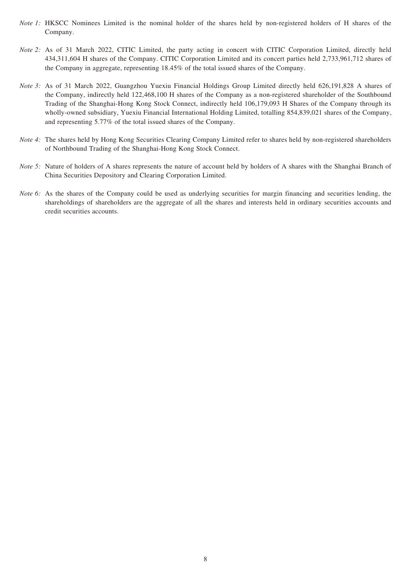- *Note 1*: HKSCC Nominees Limited is the nominal holder of the shares held by non-registered holders of H shares of the Company.
- *Note 2:* As of 31 March 2022, CITIC Limited, the party acting in concert with CITIC Corporation Limited, directly held 434,311,604 H shares of the Company. CITIC Corporation Limited and its concert parties held 2,733,961,712 shares of the Company in aggregate, representing 18.45% of the total issued shares of the Company.
- *Note 3:* As of 31 March 2022, Guangzhou Yuexiu Financial Holdings Group Limited directly held 626,191,828 A shares of the Company, indirectly held 122,468,100 H shares of the Company as a non-registered shareholder of the Southbound Trading of the Shanghai-Hong Kong Stock Connect, indirectly held 106,179,093 H Shares of the Company through its wholly-owned subsidiary, Yuexiu Financial International Holding Limited, totalling 854,839,021 shares of the Company, and representing 5.77% of the total issued shares of the Company.
- *Note 4*: The shares held by Hong Kong Securities Clearing Company Limited refer to shares held by non-registered shareholders of Northbound Trading of the Shanghai-Hong Kong Stock Connect.
- *Note 5*: Nature of holders of A shares represents the nature of account held by holders of A shares with the Shanghai Branch of China Securities Depository and Clearing Corporation Limited.
- *Note 6:* As the shares of the Company could be used as underlying securities for margin financing and securities lending, the shareholdings of shareholders are the aggregate of all the shares and interests held in ordinary securities accounts and credit securities accounts.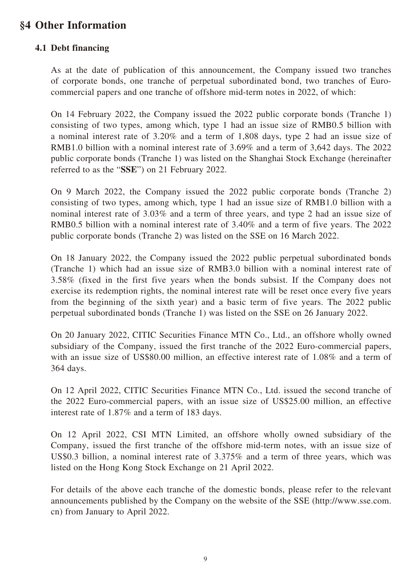## **§4 Other Information**

#### **4.1 Debt financing**

As at the date of publication of this announcement, the Company issued two tranches of corporate bonds, one tranche of perpetual subordinated bond, two tranches of Eurocommercial papers and one tranche of offshore mid-term notes in 2022, of which:

On 14 February 2022, the Company issued the 2022 public corporate bonds (Tranche 1) consisting of two types, among which, type 1 had an issue size of RMB0.5 billion with a nominal interest rate of 3.20% and a term of 1,808 days, type 2 had an issue size of RMB1.0 billion with a nominal interest rate of 3.69% and a term of 3,642 days. The 2022 public corporate bonds (Tranche 1) was listed on the Shanghai Stock Exchange (hereinafter referred to as the "**SSE**") on 21 February 2022.

On 9 March 2022, the Company issued the 2022 public corporate bonds (Tranche 2) consisting of two types, among which, type 1 had an issue size of RMB1.0 billion with a nominal interest rate of 3.03% and a term of three years, and type 2 had an issue size of RMB0.5 billion with a nominal interest rate of 3.40% and a term of five years. The 2022 public corporate bonds (Tranche 2) was listed on the SSE on 16 March 2022.

On 18 January 2022, the Company issued the 2022 public perpetual subordinated bonds (Tranche 1) which had an issue size of RMB3.0 billion with a nominal interest rate of 3.58% (fixed in the first five years when the bonds subsist. If the Company does not exercise its redemption rights, the nominal interest rate will be reset once every five years from the beginning of the sixth year) and a basic term of five years. The 2022 public perpetual subordinated bonds (Tranche 1) was listed on the SSE on 26 January 2022.

On 20 January 2022, CITIC Securities Finance MTN Co., Ltd., an offshore wholly owned subsidiary of the Company, issued the first tranche of the 2022 Euro-commercial papers, with an issue size of US\$80.00 million, an effective interest rate of 1.08% and a term of 364 days.

On 12 April 2022, CITIC Securities Finance MTN Co., Ltd. issued the second tranche of the 2022 Euro-commercial papers, with an issue size of US\$25.00 million, an effective interest rate of 1.87% and a term of 183 days.

On 12 April 2022, CSI MTN Limited, an offshore wholly owned subsidiary of the Company, issued the first tranche of the offshore mid-term notes, with an issue size of US\$0.3 billion, a nominal interest rate of 3.375% and a term of three years, which was listed on the Hong Kong Stock Exchange on 21 April 2022.

For details of the above each tranche of the domestic bonds, please refer to the relevant announcements published by the Company on the website of the SSE (http://www.sse.com. cn) from January to April 2022.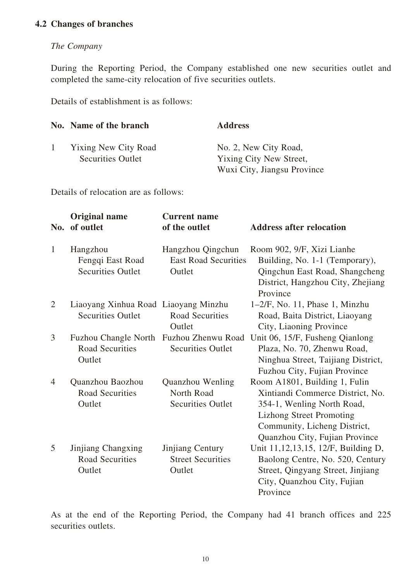#### **4.2 Changes of branches**

#### *The Company*

During the Reporting Period, the Company established one new securities outlet and completed the same-city relocation of five securities outlets.

Details of establishment is as follows:

|              | No. Name of the branch                                  | <b>Address</b>                                                                  |
|--------------|---------------------------------------------------------|---------------------------------------------------------------------------------|
| $\mathbf{1}$ | <b>Yixing New City Road</b><br><b>Securities Outlet</b> | No. 2, New City Road,<br>Yixing City New Street,<br>Wuxi City, Jiangsu Province |

Details of relocation are as follows:

| No.            | <b>Original name</b><br>of outlet                                | <b>Current name</b><br>of the outlet                          | <b>Address after relocation</b>                                                                                                                                                                      |
|----------------|------------------------------------------------------------------|---------------------------------------------------------------|------------------------------------------------------------------------------------------------------------------------------------------------------------------------------------------------------|
| $\mathbf{1}$   | Hangzhou<br>Fengqi East Road<br><b>Securities Outlet</b>         | Hangzhou Qingchun<br><b>East Road Securities</b><br>Outlet    | Room 902, 9/F, Xizi Lianhe<br>Building, No. 1-1 (Temporary),<br>Qingchun East Road, Shangcheng<br>District, Hangzhou City, Zhejiang<br>Province                                                      |
| $\overline{2}$ | Liaoyang Xinhua Road Liaoyang Minzhu<br><b>Securities Outlet</b> | <b>Road Securities</b><br>Outlet                              | $1-2/F$ , No. 11, Phase 1, Minzhu<br>Road, Baita District, Liaoyang<br>City, Liaoning Province                                                                                                       |
| 3              | <b>Fuzhou Changle North</b><br><b>Road Securities</b><br>Outlet  | Fuzhou Zhenwu Road<br><b>Securities Outlet</b>                | Unit 06, 15/F, Fusheng Qianlong<br>Plaza, No. 70, Zhenwu Road,<br>Ninghua Street, Taijiang District,<br>Fuzhou City, Fujian Province                                                                 |
| $\overline{4}$ | Quanzhou Baozhou<br><b>Road Securities</b><br>Outlet             | Quanzhou Wenling<br>North Road<br><b>Securities Outlet</b>    | Room A1801, Building 1, Fulin<br>Xintiandi Commerce District, No.<br>354-1, Wenling North Road,<br><b>Lizhong Street Promoting</b><br>Community, Licheng District,<br>Quanzhou City, Fujian Province |
| 5              | Jinjiang Changxing<br><b>Road Securities</b><br>Outlet           | <b>Jinjiang Century</b><br><b>Street Securities</b><br>Outlet | Unit 11, 12, 13, 15, 12/F, Building D,<br>Baolong Centre, No. 520, Century<br>Street, Qingyang Street, Jinjiang<br>City, Quanzhou City, Fujian<br>Province                                           |

As at the end of the Reporting Period, the Company had 41 branch offices and 225 securities outlets.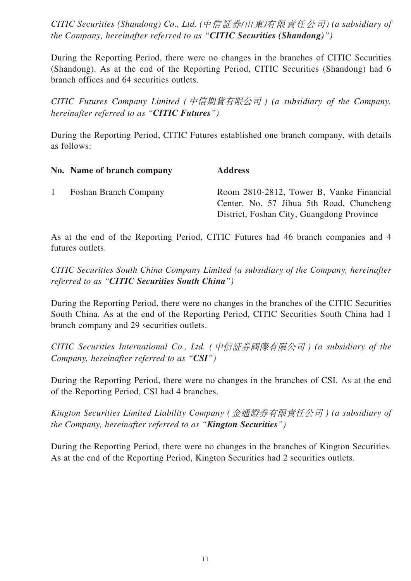*CITIC Securities (Shandong) Co., Ltd. (*中信証券*(*山東*)*有限責任公司*) (a subsidiary of the Company, hereinafter referred to as "CITIC Securities (Shandong)")*

During the Reporting Period, there were no changes in the branches of CITIC Securities (Shandong). As at the end of the Reporting Period, CITIC Securities (Shandong) had 6 branch offices and 64 securities outlets.

*CITIC Futures Company Limited (*中信期貨有限公司 *) (a subsidiary of the Company, hereinafter referred to as "CITIC Futures")*

During the Reporting Period, CITIC Futures established one branch company, with details as follows:

|              | No. Name of branch company   | <b>Address</b>                                                                                                                    |
|--------------|------------------------------|-----------------------------------------------------------------------------------------------------------------------------------|
| $\mathbf{1}$ | <b>Foshan Branch Company</b> | Room 2810-2812, Tower B, Vanke Financial<br>Center, No. 57 Jihua 5th Road, Chancheng<br>District, Foshan City, Guangdong Province |

As at the end of the Reporting Period, CITIC Futures had 46 branch companies and 4 futures outlets.

*CITIC Securities South China Company Limited (a subsidiary of the Company, hereinafter referred to as "CITIC Securities South China")*

During the Reporting Period, there were no changes in the branches of the CITIC Securities South China. As at the end of the Reporting Period, CITIC Securities South China had 1 branch company and 29 securities outlets.

*CITIC Securities International Co., Ltd. (*中信証券國際有限公司 *) (a subsidiary of the Company, hereinafter referred to as "CSI")*

During the Reporting Period, there were no changes in the branches of CSI. As at the end of the Reporting Period, CSI had 4 branches.

*Kington Securities Limited Liability Company (*金通證券有限責任公司 *) (a subsidiary of the Company, hereinafter referred to as "Kington Securities")*

During the Reporting Period, there were no changes in the branches of Kington Securities. As at the end of the Reporting Period, Kington Securities had 2 securities outlets.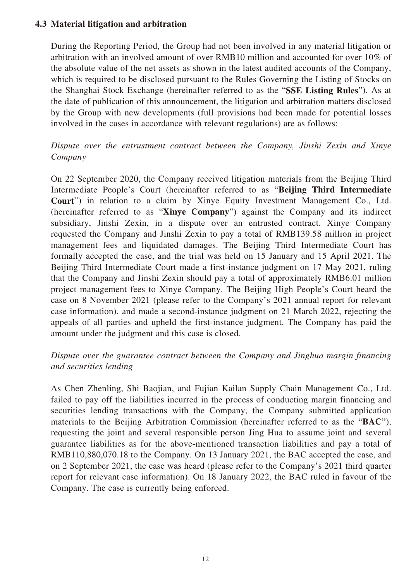#### **4.3 Material litigation and arbitration**

During the Reporting Period, the Group had not been involved in any material litigation or arbitration with an involved amount of over RMB10 million and accounted for over 10% of the absolute value of the net assets as shown in the latest audited accounts of the Company, which is required to be disclosed pursuant to the Rules Governing the Listing of Stocks on the Shanghai Stock Exchange (hereinafter referred to as the "**SSE Listing Rules**"). As at the date of publication of this announcement, the litigation and arbitration matters disclosed by the Group with new developments (full provisions had been made for potential losses involved in the cases in accordance with relevant regulations) are as follows:

### *Dispute over the entrustment contract between the Company, Jinshi Zexin and Xinye Company*

On 22 September 2020, the Company received litigation materials from the Beijing Third Intermediate People's Court (hereinafter referred to as "**Beijing Third Intermediate Court**") in relation to a claim by Xinye Equity Investment Management Co., Ltd. (hereinafter referred to as "**Xinye Company**") against the Company and its indirect subsidiary, Jinshi Zexin, in a dispute over an entrusted contract. Xinye Company requested the Company and Jinshi Zexin to pay a total of RMB139.58 million in project management fees and liquidated damages. The Beijing Third Intermediate Court has formally accepted the case, and the trial was held on 15 January and 15 April 2021. The Beijing Third Intermediate Court made a first-instance judgment on 17 May 2021, ruling that the Company and Jinshi Zexin should pay a total of approximately RMB6.01 million project management fees to Xinye Company. The Beijing High People's Court heard the case on 8 November 2021 (please refer to the Company's 2021 annual report for relevant case information), and made a second-instance judgment on 21 March 2022, rejecting the appeals of all parties and upheld the first-instance judgment. The Company has paid the amount under the judgment and this case is closed.

#### *Dispute over the guarantee contract between the Company and Jinghua margin financing and securities lending*

As Chen Zhenling, Shi Baojian, and Fujian Kailan Supply Chain Management Co., Ltd. failed to pay off the liabilities incurred in the process of conducting margin financing and securities lending transactions with the Company, the Company submitted application materials to the Beijing Arbitration Commission (hereinafter referred to as the "**BAC**"), requesting the joint and several responsible person Jing Hua to assume joint and several guarantee liabilities as for the above-mentioned transaction liabilities and pay a total of RMB110,880,070.18 to the Company. On 13 January 2021, the BAC accepted the case, and on 2 September 2021, the case was heard (please refer to the Company's 2021 third quarter report for relevant case information). On 18 January 2022, the BAC ruled in favour of the Company. The case is currently being enforced.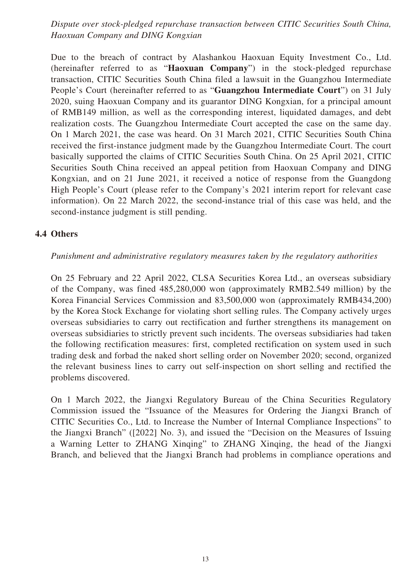*Dispute over stock-pledged repurchase transaction between CITIC Securities South China, Haoxuan Company and DING Kongxian*

Due to the breach of contract by Alashankou Haoxuan Equity Investment Co., Ltd. (hereinafter referred to as "**Haoxuan Company**") in the stock-pledged repurchase transaction, CITIC Securities South China filed a lawsuit in the Guangzhou Intermediate People's Court (hereinafter referred to as "**Guangzhou Intermediate Court**") on 31 July 2020, suing Haoxuan Company and its guarantor DING Kongxian, for a principal amount of RMB149 million, as well as the corresponding interest, liquidated damages, and debt realization costs. The Guangzhou Intermediate Court accepted the case on the same day. On 1 March 2021, the case was heard. On 31 March 2021, CITIC Securities South China received the first-instance judgment made by the Guangzhou Intermediate Court. The court basically supported the claims of CITIC Securities South China. On 25 April 2021, CITIC Securities South China received an appeal petition from Haoxuan Company and DING Kongxian, and on 21 June 2021, it received a notice of response from the Guangdong High People's Court (please refer to the Company's 2021 interim report for relevant case information). On 22 March 2022, the second-instance trial of this case was held, and the second-instance judgment is still pending.

#### **4.4 Others**

#### *Punishment and administrative regulatory measures taken by the regulatory authorities*

On 25 February and 22 April 2022, CLSA Securities Korea Ltd., an overseas subsidiary of the Company, was fined 485,280,000 won (approximately RMB2.549 million) by the Korea Financial Services Commission and 83,500,000 won (approximately RMB434,200) by the Korea Stock Exchange for violating short selling rules. The Company actively urges overseas subsidiaries to carry out rectification and further strengthens its management on overseas subsidiaries to strictly prevent such incidents. The overseas subsidiaries had taken the following rectification measures: first, completed rectification on system used in such trading desk and forbad the naked short selling order on November 2020; second, organized the relevant business lines to carry out self-inspection on short selling and rectified the problems discovered.

On 1 March 2022, the Jiangxi Regulatory Bureau of the China Securities Regulatory Commission issued the "Issuance of the Measures for Ordering the Jiangxi Branch of CITIC Securities Co., Ltd. to Increase the Number of Internal Compliance Inspections" to the Jiangxi Branch" ([2022] No. 3), and issued the "Decision on the Measures of Issuing a Warning Letter to ZHANG Xinqing" to ZHANG Xinqing, the head of the Jiangxi Branch, and believed that the Jiangxi Branch had problems in compliance operations and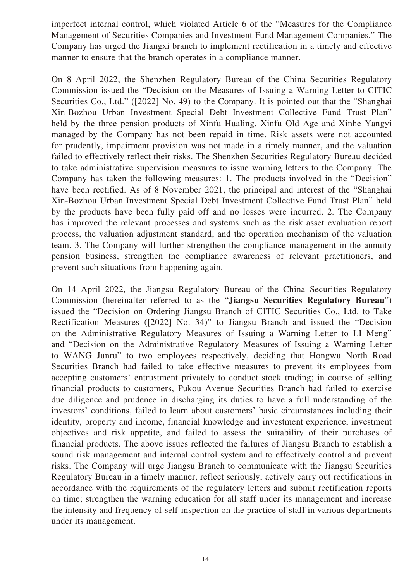imperfect internal control, which violated Article 6 of the "Measures for the Compliance Management of Securities Companies and Investment Fund Management Companies." The Company has urged the Jiangxi branch to implement rectification in a timely and effective manner to ensure that the branch operates in a compliance manner.

On 8 April 2022, the Shenzhen Regulatory Bureau of the China Securities Regulatory Commission issued the "Decision on the Measures of Issuing a Warning Letter to CITIC Securities Co., Ltd." ([2022] No. 49) to the Company. It is pointed out that the "Shanghai Xin-Bozhou Urban Investment Special Debt Investment Collective Fund Trust Plan" held by the three pension products of Xinfu Hualing, Xinfu Old Age and Xinhe Yangyi managed by the Company has not been repaid in time. Risk assets were not accounted for prudently, impairment provision was not made in a timely manner, and the valuation failed to effectively reflect their risks. The Shenzhen Securities Regulatory Bureau decided to take administrative supervision measures to issue warning letters to the Company. The Company has taken the following measures: 1. The products involved in the "Decision" have been rectified. As of 8 November 2021, the principal and interest of the "Shanghai Xin-Bozhou Urban Investment Special Debt Investment Collective Fund Trust Plan" held by the products have been fully paid off and no losses were incurred. 2. The Company has improved the relevant processes and systems such as the risk asset evaluation report process, the valuation adjustment standard, and the operation mechanism of the valuation team. 3. The Company will further strengthen the compliance management in the annuity pension business, strengthen the compliance awareness of relevant practitioners, and prevent such situations from happening again.

On 14 April 2022, the Jiangsu Regulatory Bureau of the China Securities Regulatory Commission (hereinafter referred to as the "**Jiangsu Securities Regulatory Bureau**") issued the "Decision on Ordering Jiangsu Branch of CITIC Securities Co., Ltd. to Take Rectification Measures ([2022] No. 34)" to Jiangsu Branch and issued the "Decision on the Administrative Regulatory Measures of Issuing a Warning Letter to LI Meng" and "Decision on the Administrative Regulatory Measures of Issuing a Warning Letter to WANG Junru" to two employees respectively, deciding that Hongwu North Road Securities Branch had failed to take effective measures to prevent its employees from accepting customers' entrustment privately to conduct stock trading; in course of selling financial products to customers, Pukou Avenue Securities Branch had failed to exercise due diligence and prudence in discharging its duties to have a full understanding of the investors' conditions, failed to learn about customers' basic circumstances including their identity, property and income, financial knowledge and investment experience, investment objectives and risk appetite, and failed to assess the suitability of their purchases of financial products. The above issues reflected the failures of Jiangsu Branch to establish a sound risk management and internal control system and to effectively control and prevent risks. The Company will urge Jiangsu Branch to communicate with the Jiangsu Securities Regulatory Bureau in a timely manner, reflect seriously, actively carry out rectifications in accordance with the requirements of the regulatory letters and submit rectification reports on time; strengthen the warning education for all staff under its management and increase the intensity and frequency of self-inspection on the practice of staff in various departments under its management.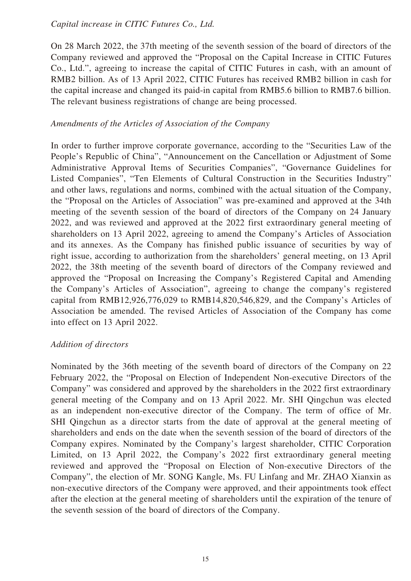#### *Capital increase in CITIC Futures Co., Ltd.*

On 28 March 2022, the 37th meeting of the seventh session of the board of directors of the Company reviewed and approved the "Proposal on the Capital Increase in CITIC Futures Co., Ltd.", agreeing to increase the capital of CITIC Futures in cash, with an amount of RMB2 billion. As of 13 April 2022, CITIC Futures has received RMB2 billion in cash for the capital increase and changed its paid-in capital from RMB5.6 billion to RMB7.6 billion. The relevant business registrations of change are being processed.

#### *Amendments of the Articles of Association of the Company*

In order to further improve corporate governance, according to the "Securities Law of the People's Republic of China", "Announcement on the Cancellation or Adjustment of Some Administrative Approval Items of Securities Companies", "Governance Guidelines for Listed Companies", "Ten Elements of Cultural Construction in the Securities Industry" and other laws, regulations and norms, combined with the actual situation of the Company, the "Proposal on the Articles of Association" was pre-examined and approved at the 34th meeting of the seventh session of the board of directors of the Company on 24 January 2022, and was reviewed and approved at the 2022 first extraordinary general meeting of shareholders on 13 April 2022, agreeing to amend the Company's Articles of Association and its annexes. As the Company has finished public issuance of securities by way of right issue, according to authorization from the shareholders' general meeting, on 13 April 2022, the 38th meeting of the seventh board of directors of the Company reviewed and approved the "Proposal on Increasing the Company's Registered Capital and Amending the Company's Articles of Association", agreeing to change the company's registered capital from RMB12,926,776,029 to RMB14,820,546,829, and the Company's Articles of Association be amended. The revised Articles of Association of the Company has come into effect on 13 April 2022.

#### *Addition of directors*

Nominated by the 36th meeting of the seventh board of directors of the Company on 22 February 2022, the "Proposal on Election of Independent Non-executive Directors of the Company" was considered and approved by the shareholders in the 2022 first extraordinary general meeting of the Company and on 13 April 2022. Mr. SHI Qingchun was elected as an independent non-executive director of the Company. The term of office of Mr. SHI Qingchun as a director starts from the date of approval at the general meeting of shareholders and ends on the date when the seventh session of the board of directors of the Company expires. Nominated by the Company's largest shareholder, CITIC Corporation Limited, on 13 April 2022, the Company's 2022 first extraordinary general meeting reviewed and approved the "Proposal on Election of Non-executive Directors of the Company", the election of Mr. SONG Kangle, Ms. FU Linfang and Mr. ZHAO Xianxin as non-executive directors of the Company were approved, and their appointments took effect after the election at the general meeting of shareholders until the expiration of the tenure of the seventh session of the board of directors of the Company.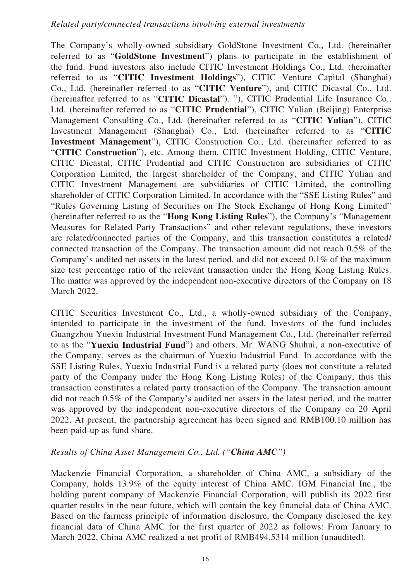The Company's wholly-owned subsidiary GoldStone Investment Co., Ltd. (hereinafter referred to as "**GoldStone Investment**") plans to participate in the establishment of the fund. Fund investors also include CITIC Investment Holdings Co., Ltd. (hereinafter referred to as "**CITIC Investment Holdings**"), CITIC Venture Capital (Shanghai) Co., Ltd. (hereinafter referred to as "**CITIC Venture**"), and CITIC Dicastal Co., Ltd. (hereinafter referred to as "**CITIC Dicastal**"). "), CITIC Prudential Life Insurance Co., Ltd. (hereinafter referred to as "**CITIC Prudential**"), CITIC Yulian (Beijing) Enterprise Management Consulting Co., Ltd. (hereinafter referred to as "**CITIC Yulian**"), CITIC Investment Management (Shanghai) Co., Ltd. (hereinafter referred to as "**CITIC Investment Management**"), CITIC Construction Co., Ltd. (hereinafter referred to as "**CITIC Construction**"), etc. Among them, CITIC Investment Holding, CITIC Venture, CITIC Dicastal, CITIC Prudential and CITIC Construction are subsidiaries of CITIC Corporation Limited, the largest shareholder of the Company, and CITIC Yulian and CITIC Investment Management are subsidiaries of CITIC Limited, the controlling shareholder of CITIC Corporation Limited. In accordance with the "SSE Listing Rules" and "Rules Governing Listing of Securities on The Stock Exchange of Hong Kong Limited" (hereinafter referred to as the "**Hong Kong Listing Rules**"), the Company's "Management Measures for Related Party Transactions" and other relevant regulations, these investors are related/connected parties of the Company, and this transaction constitutes a related/ connected transaction of the Company. The transaction amount did not reach 0.5% of the Company's audited net assets in the latest period, and did not exceed 0.1% of the maximum size test percentage ratio of the relevant transaction under the Hong Kong Listing Rules. The matter was approved by the independent non-executive directors of the Company on 18 March 2022.

CITIC Securities Investment Co., Ltd., a wholly-owned subsidiary of the Company, intended to participate in the investment of the fund. Investors of the fund includes Guangzhou Yuexiu Industrial Investment Fund Management Co., Ltd. (hereinafter referred to as the "**Yuexiu Industrial Fund**") and others. Mr. WANG Shuhui, a non-executive of the Company, serves as the chairman of Yuexiu Industrial Fund. In accordance with the SSE Listing Rules, Yuexiu Industrial Fund is a related party (does not constitute a related party of the Company under the Hong Kong Listing Rules) of the Company, thus this transaction constitutes a related party transaction of the Company. The transaction amount did not reach 0.5% of the Company's audited net assets in the latest period, and the matter was approved by the independent non-executive directors of the Company on 20 April 2022. At present, the partnership agreement has been signed and RMB100.10 million has been paid-up as fund share.

#### *Results of China Asset Management Co., Ltd. ("China AMC")*

Mackenzie Financial Corporation, a shareholder of China AMC, a subsidiary of the Company, holds 13.9% of the equity interest of China AMC. IGM Financial Inc., the holding parent company of Mackenzie Financial Corporation, will publish its 2022 first quarter results in the near future, which will contain the key financial data of China AMC. Based on the fairness principle of information disclosure, the Company disclosed the key financial data of China AMC for the first quarter of 2022 as follows: From January to March 2022, China AMC realized a net profit of RMB494.5314 million (unaudited).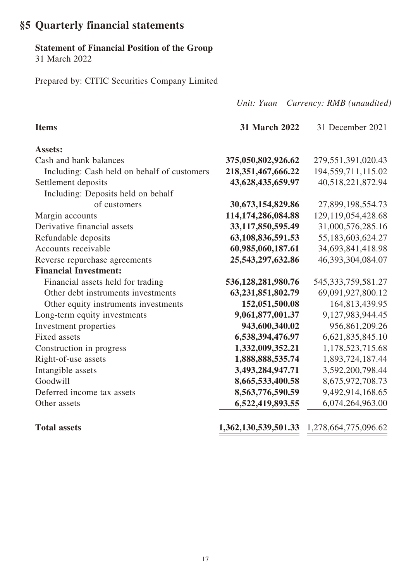### **§5 Quarterly financial statements**

#### **Statement of Financial Position of the Group**

31 March 2022

Prepared by: CITIC Securities Company Limited

*Unit: Yuan Currency: RMB (unaudited)* **Items 31 March 2022** 31 December 2021 **Assets:** Cash and bank balances **375,050,802,926.62** 279,551,391,020.43 Including: Cash held on behalf of customers **218,351,467,666.22** 194,559,711,115.02 Settlement deposits **43,628,435,659.97** 40,518,221,872.94 Including: Deposits held on behalf of customers **30,673,154,829.86** 27,899,198,554.73 Margin accounts **114,174,286,084.88** 129,119,054,428.68 Derivative financial assets **33,117,850,595.49** 31,000,576,285.16 Refundable deposits **63,108,836,591.53** 55,183,603,624.27 Accounts receivable **60,985,060,187.61** 34,693,841,418.98 Reverse repurchase agreements **25,543,297,632.86** 46,393,304,084.07 **Financial Investment:** Financial assets held for trading **536,128,281,980.76** 545,333,759,581.27 Other debt instruments investments **63,231,851,802.79** 69,091,927,800.12 Other equity instruments investments **152,051,500.08** 164,813,439.95 Long-term equity investments **9,061,877,001.37** 9,127,983,944.45 Investment properties **943,600,340.02** 956,861,209.26 Fixed assets **6,538,394,476.97** 6,621,835,845.10 Construction in progress **1,332,009,352.21** 1,178,523,715.68 Right-of-use assets **1,888,888,535.74** 1,893,724,187.44 Intangible assets **3,493,284,947.71** 3,592,200,798.44 Goodwill **8,665,533,400.58** 8,675,972,708.73 Deferred income tax assets **8,563,776,590.59** 9,492,914,168.65 Other assets 6,522,419,893.55 6,074,264,963.00

**Total assets 1,362,130,539,501.33** 1,278,664,775,096.62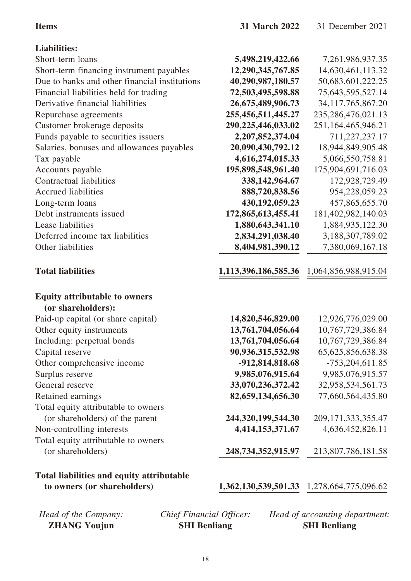|                                                          | 31 March 2022        | 31 December 2021       |
|----------------------------------------------------------|----------------------|------------------------|
| <b>Liabilities:</b>                                      |                      |                        |
| Short-term loans                                         | 5,498,219,422.66     | 7,261,986,937.35       |
| Short-term financing instrument payables                 | 12,290,345,767.85    | 14,630,461,113.32      |
| Due to banks and other financial institutions            | 40,290,987,180.57    | 50,683,601,222.25      |
| Financial liabilities held for trading                   | 72,503,495,598.88    | 75,643,595,527.14      |
| Derivative financial liabilities                         | 26,675,489,906.73    | 34,117,765,867.20      |
| Repurchase agreements                                    | 255,456,511,445.27   | 235,286,476,021.13     |
| Customer brokerage deposits                              | 290,225,446,033.02   | 251,164,465,946.21     |
| Funds payable to securities issuers                      | 2,207,852,374.04     | 711,227,237.17         |
| Salaries, bonuses and allowances payables                | 20,090,430,792.12    | 18,944,849,905.48      |
| Tax payable                                              | 4,616,274,015.33     | 5,066,550,758.81       |
| Accounts payable                                         | 195,898,548,961.40   | 175,904,691,716.03     |
| Contractual liabilities                                  | 338, 142, 964. 67    | 172,928,729.49         |
| <b>Accrued liabilities</b>                               | 888,720,838.56       | 954,228,059.23         |
| Long-term loans                                          | 430,192,059.23       | 457,865,655.70         |
| Debt instruments issued                                  | 172,865,613,455.41   | 181,402,982,140.03     |
| Lease liabilities                                        | 1,880,643,341.10     | 1,884,935,122.30       |
| Deferred income tax liabilities                          | 2,834,291,038.40     | 3,188,307,789.02       |
| Other liabilities                                        | 8,404,981,390.12     | 7,380,069,167.18       |
|                                                          |                      |                        |
| <b>Total liabilities</b>                                 | 1,113,396,186,585.36 | 1,064,856,988,915.04   |
| <b>Equity attributable to owners</b>                     |                      |                        |
| (or shareholders):                                       |                      |                        |
| Paid-up capital (or share capital)                       | 14,820,546,829.00    | 12,926,776,029.00      |
| Other equity instruments                                 | 13,761,704,056.64    | 10,767,729,386.84      |
| Including: perpetual bonds                               | 13,761,704,056.64    | 10,767,729,386.84      |
| Capital reserve                                          | 90,936,315,532.98    | 65, 625, 856, 638. 38  |
| Other comprehensive income                               | -912,814,818.68      | $-753,204,611.85$      |
| Surplus reserve                                          | 9,985,076,915.64     | 9,985,076,915.57       |
| General reserve                                          | 33,070,236,372.42    | 32,958,534,561.73      |
| Retained earnings                                        | 82,659,134,656.30    | 77,660,564,435.80      |
| Total equity attributable to owners                      |                      |                        |
| (or shareholders) of the parent                          | 244,320,199,544.30   | 209, 171, 333, 355. 47 |
| Non-controlling interests                                | 4,414,153,371.67     | 4,636,452,826.11       |
| Total equity attributable to owners<br>(or shareholders) | 248,734,352,915.97   | 213,807,786,181.58     |
| <b>Total liabilities and equity attributable</b>         |                      |                        |

*Head of the Company:* **ZHANG Youjun**

**SHI Benliang**

*Chief Financial Officer: Head of accounting department:* **SHI Benliang**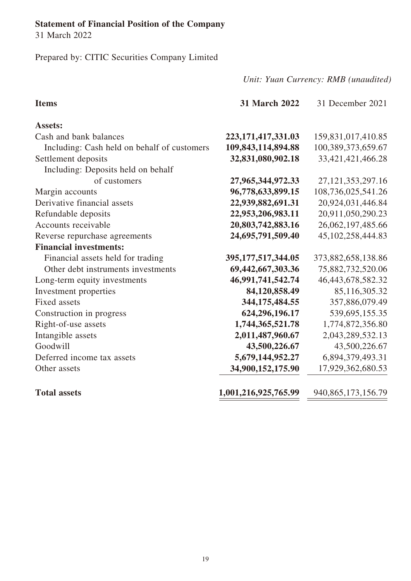# **Statement of Financial Position of the Company**

31 March 2022

Prepared by: CITIC Securities Company Limited

| <b>Items</b>                                | <b>31 March 2022</b>   | 31 December 2021       |
|---------------------------------------------|------------------------|------------------------|
| <b>Assets:</b>                              |                        |                        |
| Cash and bank balances                      | 223, 171, 417, 331. 03 | 159,831,017,410.85     |
| Including: Cash held on behalf of customers | 109,843,114,894.88     | 100,389,373,659.67     |
| Settlement deposits                         | 32,831,080,902.18      | 33,421,421,466.28      |
| Including: Deposits held on behalf          |                        |                        |
| of customers                                | 27,965,344,972.33      | 27, 121, 353, 297. 16  |
| Margin accounts                             | 96,778,633,899.15      | 108,736,025,541.26     |
| Derivative financial assets                 | 22,939,882,691.31      | 20,924,031,446.84      |
| Refundable deposits                         | 22,953,206,983.11      | 20,911,050,290.23      |
| Accounts receivable                         | 20,803,742,883.16      | 26,062,197,485.66      |
| Reverse repurchase agreements               | 24,695,791,509.40      | 45, 102, 258, 444.83   |
| <b>Financial investments:</b>               |                        |                        |
| Financial assets held for trading           | 395, 177, 517, 344. 05 | 373,882,658,138.86     |
| Other debt instruments investments          | 69,442,667,303.36      | 75,882,732,520.06      |
| Long-term equity investments                | 46,991,741,542.74      | 46,443,678,582.32      |
| Investment properties                       | 84,120,858.49          | 85,116,305.32          |
| <b>Fixed assets</b>                         | 344, 175, 484. 55      | 357,886,079.49         |
| Construction in progress                    | 624,296,196.17         | 539,695,155.35         |
| Right-of-use assets                         | 1,744,365,521.78       | 1,774,872,356.80       |
| Intangible assets                           | 2,011,487,960.67       | 2,043,289,532.13       |
| Goodwill                                    | 43,500,226.67          | 43,500,226.67          |
| Deferred income tax assets                  | 5,679,144,952.27       | 6,894,379,493.31       |
| Other assets                                | 34,900,152,175.90      | 17,929,362,680.53      |
| <b>Total assets</b>                         | 1,001,216,925,765.99   | 940, 865, 173, 156. 79 |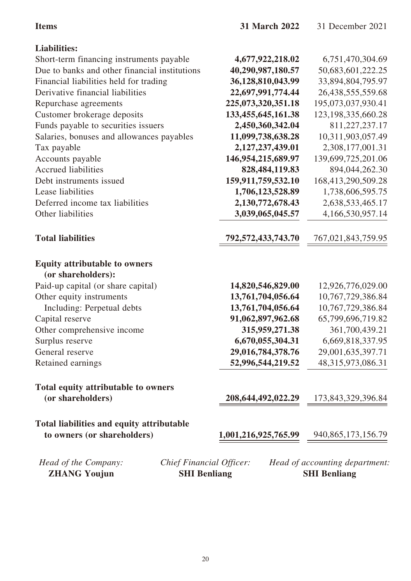| <b>Items</b>                                                                                          | 31 March 2022        | 31 December 2021                                      |
|-------------------------------------------------------------------------------------------------------|----------------------|-------------------------------------------------------|
| <b>Liabilities:</b>                                                                                   |                      |                                                       |
| Short-term financing instruments payable                                                              | 4,677,922,218.02     | 6,751,470,304.69                                      |
| Due to banks and other financial institutions                                                         | 40,290,987,180.57    | 50,683,601,222.25                                     |
| Financial liabilities held for trading                                                                | 36,128,810,043.99    | 33,894,804,795.97                                     |
| Derivative financial liabilities                                                                      | 22,697,991,774.44    | 26,438,555,559.68                                     |
| Repurchase agreements                                                                                 | 225,073,320,351.18   | 195,073,037,930.41                                    |
| Customer brokerage deposits                                                                           | 133,455,645,161.38   | 123, 198, 335, 660. 28                                |
| Funds payable to securities issuers                                                                   | 2,450,360,342.04     | 811,227,237.17                                        |
| Salaries, bonuses and allowances payables                                                             | 11,099,738,638.28    | 10,311,903,057.49                                     |
| Tax payable                                                                                           | 2,127,237,439.01     | 2,308,177,001.31                                      |
| Accounts payable                                                                                      | 146,954,215,689.97   | 139,699,725,201.06                                    |
| <b>Accrued liabilities</b>                                                                            | 828, 484, 119.83     | 894,044,262.30                                        |
| Debt instruments issued                                                                               | 159,911,759,532.10   | 168,413,290,509.28                                    |
| Lease liabilities                                                                                     | 1,706,123,528.89     | 1,738,606,595.75                                      |
| Deferred income tax liabilities                                                                       | 2,130,772,678.43     | 2,638,533,465.17                                      |
| Other liabilities                                                                                     | 3,039,065,045.57     | 4,166,530,957.14                                      |
| <b>Total liabilities</b>                                                                              | 792,572,433,743.70   | 767,021,843,759.95                                    |
| <b>Equity attributable to owners</b><br>(or shareholders):                                            |                      |                                                       |
| Paid-up capital (or share capital)                                                                    | 14,820,546,829.00    | 12,926,776,029.00                                     |
| Other equity instruments                                                                              | 13,761,704,056.64    | 10,767,729,386.84                                     |
| Including: Perpetual debts                                                                            | 13,761,704,056.64    | 10,767,729,386.84                                     |
| Capital reserve                                                                                       | 91,062,897,962.68    | 65,799,696,719.82                                     |
| Other comprehensive income                                                                            | 315,959,271.38       | 361,700,439.21                                        |
| Surplus reserve                                                                                       | 6,670,055,304.31     | 6,669,818,337.95                                      |
| General reserve                                                                                       | 29,016,784,378.76    | 29,001,635,397.71                                     |
| Retained earnings                                                                                     | 52,996,544,219.52    | 48,315,973,086.31                                     |
| Total equity attributable to owners                                                                   |                      |                                                       |
| (or shareholders)                                                                                     |                      | 208,644,492,022.29 173,843,329,396.84                 |
| Total liabilities and equity attributable                                                             |                      |                                                       |
| to owners (or shareholders)                                                                           | 1,001,216,925,765.99 | 940, 865, 173, 156. 79                                |
| <b>Chief Financial Officer:</b><br>Head of the Company:<br><b>ZHANG Youjun</b><br><b>SHI Benliang</b> |                      | Head of accounting department:<br><b>SHI Benliang</b> |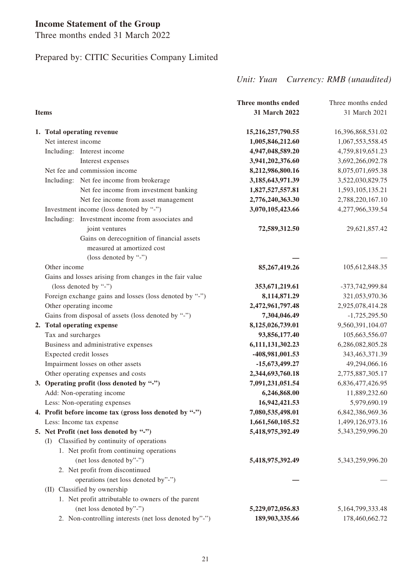## **Income Statement of the Group**

Three months ended 31 March 2022

## Prepared by: CITIC Securities Company Limited

|                                                         | Three months ended | Three months ended   |
|---------------------------------------------------------|--------------------|----------------------|
| <b>Items</b>                                            | 31 March 2022      | 31 March 2021        |
| 1. Total operating revenue                              | 15,216,257,790.55  | 16,396,868,531.02    |
| Net interest income                                     | 1,005,846,212.60   | 1,067,553,558.45     |
| Including: Interest income                              | 4,947,048,589.20   | 4,759,819,651.23     |
| Interest expenses                                       | 3,941,202,376.60   | 3,692,266,092.78     |
| Net fee and commission income                           | 8,212,986,800.16   | 8,075,071,695.38     |
| Including: Net fee income from brokerage                | 3,185,643,971.39   | 3,522,030,829.75     |
| Net fee income from investment banking                  | 1,827,527,557.81   | 1,593,105,135.21     |
| Net fee income from asset management                    | 2,776,240,363.30   | 2,788,220,167.10     |
| Investment income (loss denoted by "-")                 | 3,070,105,423.66   | 4,277,966,339.54     |
| Including: Investment income from associates and        |                    |                      |
| joint ventures                                          | 72,589,312.50      | 29,621,857.42        |
| Gains on derecognition of financial assets              |                    |                      |
| measured at amortized cost                              |                    |                      |
| (loss denoted by "-")                                   |                    |                      |
| Other income                                            | 85,267,419.26      | 105,612,848.35       |
| Gains and losses arising from changes in the fair value |                    |                      |
| (loss denoted by "-")                                   | 353,671,219.61     | -373,742,999.84      |
| Foreign exchange gains and losses (loss denoted by "-") | 8,114,871.29       | 321,053,970.36       |
| Other operating income                                  | 2,472,961,797.48   | 2,925,078,414.28     |
| Gains from disposal of assets (loss denoted by "-")     | 7,304,046.49       | $-1,725,295.50$      |
| 2. Total operating expense                              | 8,125,026,739.01   | 9,560,391,104.07     |
| Tax and surcharges                                      | 93,856,177.40      | 105,663,556.07       |
| Business and administrative expenses                    | 6,111,131,302.23   | 6,286,082,805.28     |
| Expected credit losses                                  | -408,981,001.53    | 343, 463, 371. 39    |
| Impairment losses on other assets                       | -15,673,499.27     | 49,294,066.16        |
| Other operating expenses and costs                      | 2,344,693,760.18   | 2,775,887,305.17     |
| 3. Operating profit (loss denoted by "-")               | 7,091,231,051.54   | 6,836,477,426.95     |
| Add: Non-operating income                               | 6,246,868.00       | 11,889,232.60        |
| Less: Non-operating expenses                            | 16,942,421.53      | 5,979,690.19         |
| 4. Profit before income tax (gross loss denoted by "-") | 7,080,535,498.01   | 6,842,386,969.36     |
| Less: Income tax expense                                | 1,661,560,105.52   | 1,499,126,973.16     |
| 5. Net Profit (net loss denoted by "-")                 | 5,418,975,392.49   | 5,343,259,996.20     |
| Classified by continuity of operations<br>(I)           |                    |                      |
| 1. Net profit from continuing operations                |                    |                      |
| (net loss denoted by"-")                                | 5,418,975,392.49   | 5,343,259,996.20     |
| 2. Net profit from discontinued                         |                    |                      |
| operations (net loss denoted by"-")                     |                    |                      |
| (II) Classified by ownership                            |                    |                      |
| 1. Net profit attributable to owners of the parent      |                    |                      |
| (net loss denoted by"-")                                | 5,229,072,056.83   | 5, 164, 799, 333. 48 |
| 2. Non-controlling interests (net loss denoted by"-")   | 189,903,335.66     | 178,460,662.72       |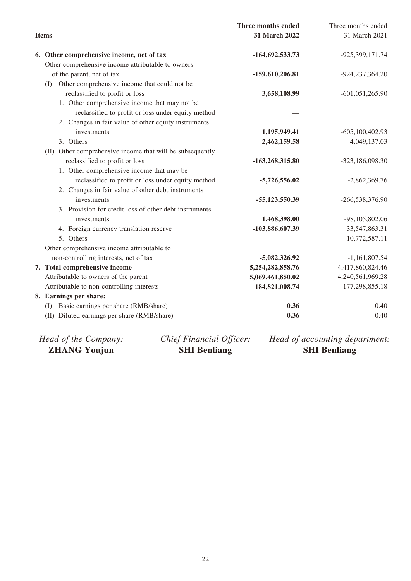|                                                           | Three months ended | Three months ended  |
|-----------------------------------------------------------|--------------------|---------------------|
| <b>Items</b>                                              | 31 March 2022      | 31 March 2021       |
| 6. Other comprehensive income, net of tax                 | -164,692,533.73    | -925,399,171.74     |
| Other comprehensive income attributable to owners         |                    |                     |
| of the parent, net of tax                                 | $-159,610,206.81$  | -924, 237, 364. 20  |
| Other comprehensive income that could not be<br>(I)       |                    |                     |
| reclassified to profit or loss                            | 3,658,108.99       | $-601,051,265.90$   |
| 1. Other comprehensive income that may not be             |                    |                     |
| reclassified to profit or loss under equity method        |                    |                     |
| 2. Changes in fair value of other equity instruments      |                    |                     |
| investments                                               | 1,195,949.41       | $-605, 100, 402.93$ |
| 3. Others                                                 | 2,462,159.58       | 4,049,137.03        |
| (II) Other comprehensive income that will be subsequently |                    |                     |
| reclassified to profit or loss                            | -163,268,315.80    | -323,186,098.30     |
| 1. Other comprehensive income that may be                 |                    |                     |
| reclassified to profit or loss under equity method        | $-5,726,556.02$    | $-2,862,369.76$     |
| 2. Changes in fair value of other debt instruments        |                    |                     |
| investments                                               | -55,123,550.39     | -266,538,376.90     |
| 3. Provision for credit loss of other debt instruments    |                    |                     |
| investments                                               | 1,468,398.00       | -98,105,802.06      |
| 4. Foreign currency translation reserve                   | -103,886,607.39    | 33,547,863.31       |
| 5. Others                                                 |                    | 10,772,587.11       |
| Other comprehensive income attributable to                |                    |                     |
| non-controlling interests, net of tax                     | -5,082,326.92      | $-1,161,807.54$     |
| 7. Total comprehensive income                             | 5,254,282,858.76   | 4,417,860,824.46    |
| Attributable to owners of the parent                      | 5,069,461,850.02   | 4,240,561,969.28    |
| Attributable to non-controlling interests                 | 184,821,008.74     | 177,298,855.18      |
| 8. Earnings per share:                                    |                    |                     |
| Basic earnings per share (RMB/share)<br>(I)               | 0.36               | 0.40                |
| (II) Diluted earnings per share (RMB/share)               | 0.36               | 0.40                |
|                                                           |                    |                     |

| <b>ZHANG Youjun</b>  | <b>SHI Benliang</b>      | <b>SHI Benliang</b>            |
|----------------------|--------------------------|--------------------------------|
| Head of the Company: | Chief Financial Officer: | Head of accounting department: |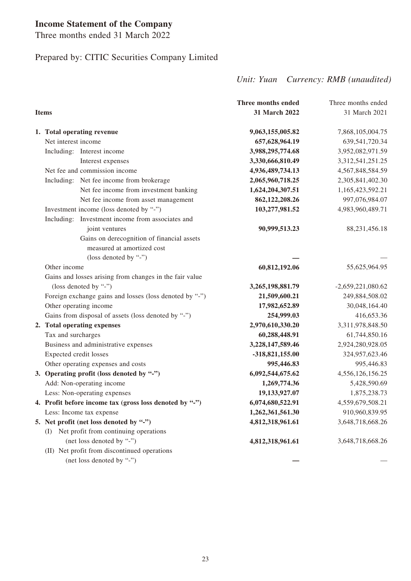## **Income Statement of the Company**

Three months ended 31 March 2022

## Prepared by: CITIC Securities Company Limited

|                                                         | Three months ended | Three months ended  |
|---------------------------------------------------------|--------------------|---------------------|
| <b>Items</b>                                            | 31 March 2022      | 31 March 2021       |
| 1. Total operating revenue                              | 9,063,155,005.82   | 7,868,105,004.75    |
| Net interest income                                     | 657,628,964.19     | 639,541,720.34      |
| Including: Interest income                              | 3,988,295,774.68   | 3,952,082,971.59    |
| Interest expenses                                       | 3,330,666,810.49   | 3,312,541,251.25    |
| Net fee and commission income                           | 4,936,489,734.13   | 4,567,848,584.59    |
| Including: Net fee income from brokerage                | 2,065,960,718.25   | 2,305,841,402.30    |
| Net fee income from investment banking                  | 1,624,204,307.51   | 1,165,423,592.21    |
| Net fee income from asset management                    | 862,122,208.26     | 997,076,984.07      |
| Investment income (loss denoted by "-")                 | 103,277,981.52     | 4,983,960,489.71    |
| Including: Investment income from associates and        |                    |                     |
| joint ventures                                          | 90,999,513.23      | 88,231,456.18       |
| Gains on derecognition of financial assets              |                    |                     |
| measured at amortized cost                              |                    |                     |
| (loss denoted by "-")                                   |                    |                     |
| Other income                                            | 60,812,192.06      | 55,625,964.95       |
| Gains and losses arising from changes in the fair value |                    |                     |
| (loss denoted by "-")                                   | 3,265,198,881.79   | $-2,659,221,080.62$ |
| Foreign exchange gains and losses (loss denoted by "-") | 21,509,600.21      | 249,884,508.02      |
| Other operating income                                  | 17,982,652.89      | 30,048,164.40       |
| Gains from disposal of assets (loss denoted by "-")     | 254,999.03         | 416,653.36          |
| 2. Total operating expenses                             | 2,970,610,330.20   | 3,311,978,848.50    |
| Tax and surcharges                                      | 60,288,448.91      | 61,744,850.16       |
| Business and administrative expenses                    | 3,228,147,589.46   | 2,924,280,928.05    |
| Expected credit losses                                  | -318,821,155.00    | 324,957,623.46      |
| Other operating expenses and costs                      | 995,446.83         | 995,446.83          |
| 3. Operating profit (loss denoted by "-")               | 6,092,544,675.62   | 4,556,126,156.25    |
| Add: Non-operating income                               | 1,269,774.36       | 5,428,590.69        |
| Less: Non-operating expenses                            | 19,133,927.07      | 1,875,238.73        |
| 4. Profit before income tax (gross loss denoted by "-") | 6,074,680,522.91   | 4,559,679,508.21    |
| Less: Income tax expense                                | 1,262,361,561.30   | 910,960,839.95      |
| 5. Net profit (net loss denoted by "-")                 | 4,812,318,961.61   | 3,648,718,668.26    |
| (I) Net profit from continuing operations               |                    |                     |
| (net loss denoted by "-")                               | 4,812,318,961.61   | 3,648,718,668.26    |
| (II) Net profit from discontinued operations            |                    |                     |
| (net loss denoted by "-")                               |                    |                     |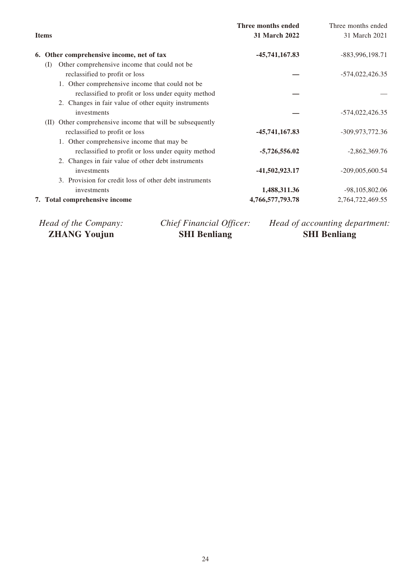|    |                                                              | Three months ended | Three months ended |
|----|--------------------------------------------------------------|--------------------|--------------------|
|    | <b>Items</b>                                                 | 31 March 2022      | 31 March 2021      |
| 6. | Other comprehensive income, net of tax                       | $-45,741,167.83$   | $-883,996,198.71$  |
|    | Other comprehensive income that could not be<br>(1)          |                    |                    |
|    | reclassified to profit or loss                               |                    | $-574,022,426.35$  |
|    | 1. Other comprehensive income that could not be              |                    |                    |
|    | reclassified to profit or loss under equity method           |                    |                    |
|    | 2. Changes in fair value of other equity instruments         |                    |                    |
|    | investments                                                  |                    | $-574,022,426.35$  |
|    | Other comprehensive income that will be subsequently<br>(II) |                    |                    |
|    | reclassified to profit or loss                               | -45,741,167.83     | -309,973,772.36    |
|    | 1. Other comprehensive income that may be                    |                    |                    |
|    | reclassified to profit or loss under equity method           | $-5,726,556.02$    | $-2,862,369.76$    |
|    | 2. Changes in fair value of other debt instruments           |                    |                    |
|    | investments                                                  | -41,502,923.17     | $-209,005,600.54$  |
|    | 3. Provision for credit loss of other debt instruments       |                    |                    |
|    | investments                                                  | 1,488,311.36       | $-98,105,802.06$   |
|    | 7. Total comprehensive income                                | 4,766,577,793.78   | 2,764,722,469.55   |
|    |                                                              |                    |                    |

*Head of the Company:* **ZHANG Youjun**

*Chief Financial Officer:* **SHI Benliang**

*Head of accounting department:* **SHI Benliang**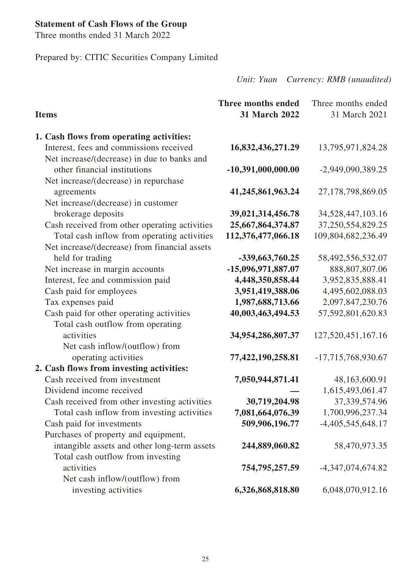## **Statement of Cash Flows of the Group**

Three months ended 31 March 2022

Prepared by: CITIC Securities Company Limited

| <b>Items</b>                                                                           | Three months ended<br>31 March 2022 | Three months ended<br>31 March 2021 |
|----------------------------------------------------------------------------------------|-------------------------------------|-------------------------------------|
| 1. Cash flows from operating activities:                                               |                                     |                                     |
| Interest, fees and commissions received<br>Net increase/(decrease) in due to banks and | 16,832,436,271.29                   | 13,795,971,824.28                   |
| other financial institutions                                                           | $-10,391,000,000.00$                | -2,949,090,389.25                   |
| Net increase/(decrease) in repurchase                                                  |                                     |                                     |
| agreements                                                                             | 41,245,861,963.24                   | 27,178,798,869.05                   |
| Net increase/(decrease) in customer                                                    |                                     |                                     |
| brokerage deposits                                                                     | 39,021,314,456.78                   | 34,528,447,103.16                   |
| Cash received from other operating activities                                          | 25,667,864,374.87                   | 37,250,554,829.25                   |
| Total cash inflow from operating activities                                            | 112,376,477,066.18                  | 109,804,682,236.49                  |
| Net increase/(decrease) from financial assets                                          |                                     |                                     |
| held for trading                                                                       | -339,663,760.25                     | 58,492,556,532.07                   |
| Net increase in margin accounts                                                        | -15,096,971,887.07                  | 888,807,807.06                      |
| Interest, fee and commission paid                                                      | 4,448,350,858.44                    | 3,952,835,888.41                    |
| Cash paid for employees                                                                | 3,951,419,388.06                    | 4,495,602,088.03                    |
| Tax expenses paid                                                                      | 1,987,688,713.66                    | 2,097,847,230.76                    |
| Cash paid for other operating activities                                               | 40,003,463,494.53                   | 57,592,801,620.83                   |
| Total cash outflow from operating                                                      |                                     |                                     |
| activities                                                                             | 34,954,286,807.37                   | 127,520,451,167.16                  |
| Net cash inflow/(outflow) from                                                         |                                     |                                     |
| operating activities                                                                   | 77,422,190,258.81                   | $-17,715,768,930.67$                |
| 2. Cash flows from investing activities:                                               |                                     |                                     |
| Cash received from investment                                                          | 7,050,944,871.41                    | 48,163,600.91                       |
| Dividend income received                                                               |                                     | 1,615,493,061.47                    |
| Cash received from other investing activities                                          | 30,719,204.98                       | 37, 339, 574. 96                    |
| Total cash inflow from investing activities                                            | 7,081,664,076.39                    | 1,700,996,237.34                    |
| Cash paid for investments                                                              | 509,906,196.77                      | $-4,405,545,648.17$                 |
| Purchases of property and equipment,                                                   |                                     |                                     |
| intangible assets and other long-term assets                                           | 244,889,060.82                      | 58,470,973.35                       |
| Total cash outflow from investing                                                      |                                     |                                     |
| activities                                                                             | 754,795,257.59                      | $-4,347,074,674.82$                 |
| Net cash inflow/(outflow) from                                                         |                                     |                                     |
| investing activities                                                                   | 6,326,868,818.80                    | 6,048,070,912.16                    |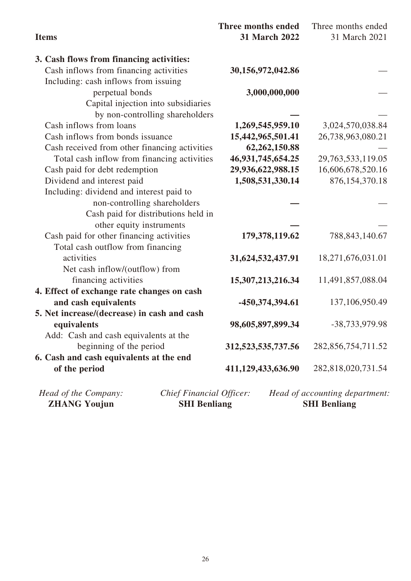| <b>Items</b>                                     | <b>Three months ended</b><br><b>31 March 2022</b> | Three months ended<br>31 March 2021 |
|--------------------------------------------------|---------------------------------------------------|-------------------------------------|
| 3. Cash flows from financing activities:         |                                                   |                                     |
| Cash inflows from financing activities           | 30,156,972,042.86                                 |                                     |
| Including: cash inflows from issuing             |                                                   |                                     |
| perpetual bonds                                  | 3,000,000,000                                     |                                     |
| Capital injection into subsidiaries              |                                                   |                                     |
| by non-controlling shareholders                  |                                                   |                                     |
| Cash inflows from loans                          | 1,269,545,959.10                                  | 3,024,570,038.84                    |
| Cash inflows from bonds issuance                 | 15,442,965,501.41                                 | 26,738,963,080.21                   |
| Cash received from other financing activities    | 62,262,150.88                                     |                                     |
| Total cash inflow from financing activities      | 46,931,745,654.25                                 | 29,763,533,119.05                   |
| Cash paid for debt redemption                    | 29,936,622,988.15                                 | 16,606,678,520.16                   |
| Dividend and interest paid                       | 1,508,531,330.14                                  | 876, 154, 370. 18                   |
| Including: dividend and interest paid to         |                                                   |                                     |
| non-controlling shareholders                     |                                                   |                                     |
| Cash paid for distributions held in              |                                                   |                                     |
| other equity instruments                         |                                                   |                                     |
| Cash paid for other financing activities         | 179,378,119.62                                    | 788, 843, 140. 67                   |
| Total cash outflow from financing                |                                                   |                                     |
| activities                                       | 31,624,532,437.91                                 | 18,271,676,031.01                   |
| Net cash inflow/(outflow) from                   |                                                   |                                     |
| financing activities                             | 15,307,213,216.34                                 | 11,491,857,088.04                   |
| 4. Effect of exchange rate changes on cash       |                                                   |                                     |
| and cash equivalents                             | -450,374,394.61                                   | 137,106,950.49                      |
| 5. Net increase/(decrease) in cash and cash      |                                                   |                                     |
| equivalents                                      | 98,605,897,899.34                                 | -38,733,979.98                      |
| Add: Cash and cash equivalents at the            |                                                   |                                     |
| beginning of the period                          | 312,523,535,737.56                                | 282,856,754,711.52                  |
| 6. Cash and cash equivalents at the end          |                                                   |                                     |
| of the period                                    | 411,129,433,636.90                                | 282,818,020,731.54                  |
| Head of the Company:<br>Chief Financial Officer: |                                                   | Head of accounting department:      |
| <b>ZHANG Youjun</b><br><b>SHI Benliang</b>       |                                                   | <b>SHI Benliang</b>                 |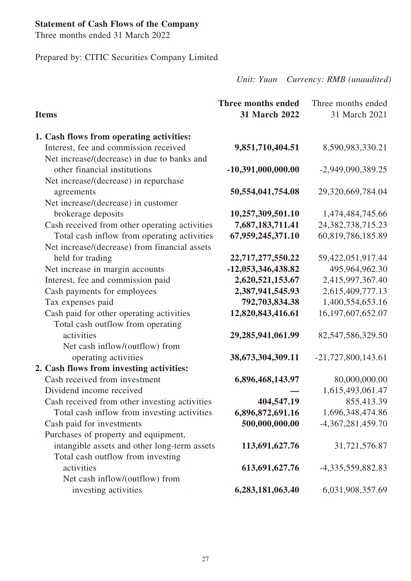## **Statement of Cash Flows of the Company**

Three months ended 31 March 2022

Prepared by: CITIC Securities Company Limited

| <b>Items</b>                                      | <b>Three months ended</b><br>31 March 2022 | Three months ended<br>31 March 2021 |
|---------------------------------------------------|--------------------------------------------|-------------------------------------|
| 1. Cash flows from operating activities:          |                                            |                                     |
| Interest, fee and commission received             | 9,851,710,404.51                           | 8,590,983,330.21                    |
| Net increase/(decrease) in due to banks and       |                                            |                                     |
| other financial institutions                      | $-10,391,000,000.00$                       | -2,949,090,389.25                   |
| Net increase/(decrease) in repurchase             |                                            |                                     |
| agreements<br>Net increase/(decrease) in customer | 50,554,041,754.08                          | 29,320,669,784.04                   |
| brokerage deposits                                | 10,257,309,501.10                          | 1,474,484,745.66                    |
| Cash received from other operating activities     | 7,687,183,711.41                           | 24, 382, 738, 715. 23               |
| Total cash inflow from operating activities       | 67,959,245,371.10                          | 60,819,786,185.89                   |
| Net increase/(decrease) from financial assets     |                                            |                                     |
| held for trading                                  | 22,717,277,550.22                          | 59,422,051,917.44                   |
| Net increase in margin accounts                   | -12,053,346,438.82                         | 495,964,962.30                      |
| Interest, fee and commission paid                 | 2,620,521,153.67                           | 2,415,997,367.40                    |
| Cash payments for employees                       | 2,387,941,545.93                           | 2,615,409,777.13                    |
| Tax expenses paid                                 | 792,703,834.38                             | 1,400,554,653.16                    |
| Cash paid for other operating activities          | 12,820,843,416.61                          | 16, 197, 607, 652. 07               |
| Total cash outflow from operating                 |                                            |                                     |
| activities                                        | 29,285,941,061.99                          | 82,547,586,329.50                   |
| Net cash inflow/(outflow) from                    |                                            |                                     |
| operating activities                              | 38,673,304,309.11                          | $-21,727,800,143.61$                |
| 2. Cash flows from investing activities:          |                                            |                                     |
| Cash received from investment                     | 6,896,468,143.97                           | 80,000,000.00                       |
| Dividend income received                          |                                            | 1,615,493,061.47                    |
| Cash received from other investing activities     | 404,547.19                                 | 855,413.39                          |
| Total cash inflow from investing activities       | 6,896,872,691.16                           | 1,696,348,474.86                    |
| Cash paid for investments                         | 500,000,000.00                             | $-4,367,281,459.70$                 |
| Purchases of property and equipment,              |                                            |                                     |
| intangible assets and other long-term assets      | 113,691,627.76                             | 31,721,576.87                       |
| Total cash outflow from investing                 |                                            |                                     |
| activities                                        | 613,691,627.76                             | -4,335,559,882.83                   |
| Net cash inflow/(outflow) from                    |                                            |                                     |
| investing activities                              | 6,283,181,063.40                           | 6,031,908,357.69                    |